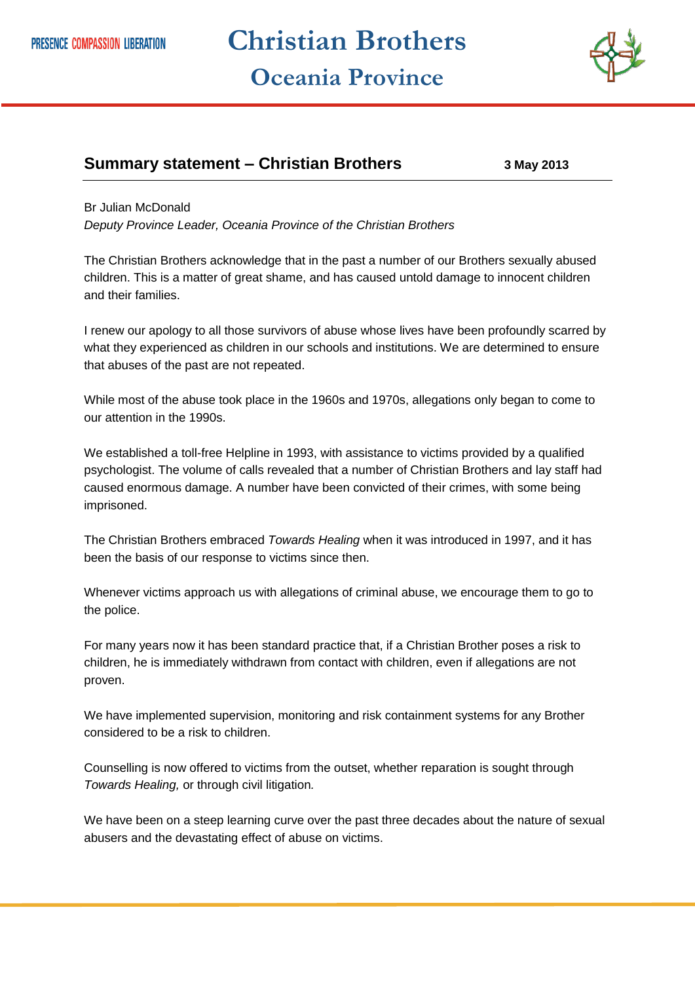## **Christian Brothers Oceania Province**



## **Summary statement – Christian Brothers 3 May 2013**

## Br Julian McDonald

*Deputy Province Leader, Oceania Province of the Christian Brothers* 

The Christian Brothers acknowledge that in the past a number of our Brothers sexually abused children. This is a matter of great shame, and has caused untold damage to innocent children and their families.

I renew our apology to all those survivors of abuse whose lives have been profoundly scarred by what they experienced as children in our schools and institutions. We are determined to ensure that abuses of the past are not repeated.

While most of the abuse took place in the 1960s and 1970s, allegations only began to come to our attention in the 1990s.

We established a toll-free Helpline in 1993, with assistance to victims provided by a qualified psychologist. The volume of calls revealed that a number of Christian Brothers and lay staff had caused enormous damage. A number have been convicted of their crimes, with some being imprisoned.

The Christian Brothers embraced *Towards Healing* when it was introduced in 1997, and it has been the basis of our response to victims since then.

Whenever victims approach us with allegations of criminal abuse, we encourage them to go to the police.

For many years now it has been standard practice that, if a Christian Brother poses a risk to children, he is immediately withdrawn from contact with children, even if allegations are not proven.

We have implemented supervision, monitoring and risk containment systems for any Brother considered to be a risk to children.

Counselling is now offered to victims from the outset, whether reparation is sought through *Towards Healing,* or through civil litigation*.*

We have been on a steep learning curve over the past three decades about the nature of sexual abusers and the devastating effect of abuse on victims.